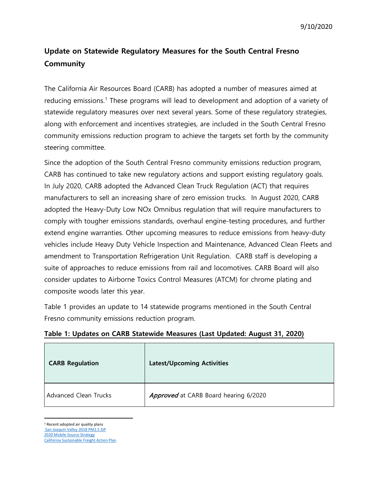## **Update on Statewide Regulatory Measures for the South Central Fresno Community**

The California Air Resources Board (CARB) has adopted a number of measures aimed at reducing emissions. [1](#page-0-0) These programs will lead to development and adoption of a variety of statewide regulatory measures over next several years. Some of these regulatory strategies, along with enforcement and incentives strategies, are included in the South Central Fresno community emissions reduction program to achieve the targets set forth by the community steering committee.

Since the adoption of the South Central Fresno community emissions reduction program, CARB has continued to take new regulatory actions and support existing regulatory goals. In July 2020, CARB adopted the Advanced Clean Truck Regulation (ACT) that requires manufacturers to sell an increasing share of zero emission trucks. In August 2020, CARB adopted the Heavy-Duty Low NOx Omnibus regulation that will require manufacturers to comply with tougher emissions standards, overhaul engine-testing procedures, and further extend engine warranties. Other upcoming measures to reduce emissions from heavy-duty vehicles include Heavy Duty Vehicle Inspection and Maintenance, Advanced Clean Fleets and amendment to Transportation Refrigeration Unit Regulation. CARB staff is developing a suite of approaches to reduce emissions from rail and locomotives. CARB Board will also consider updates to Airborne Toxics Control Measures (ATCM) for chrome plating and composite woods later this year.

Table 1 provides an update to 14 statewide programs mentioned in the South Central Fresno community emissions reduction program.

| <b>CARB Regulation</b>       | <b>Latest/Upcoming Activities</b>     |
|------------------------------|---------------------------------------|
| <b>Advanced Clean Trucks</b> | Approved at CARB Board hearing 6/2020 |

## **Table 1: Updates on CARB Statewide Measures (Last Updated: August 31, 2020)**

<span id="page-0-0"></span>1 Recent adopted air quality plans

[San Joaquin Valley 2018 PM2.5 SIP](https://ww3.arb.ca.gov/planning/sip/sjvpm25/2018plan/2018pm25staffreport.pdf?_ga=2.222734363.1824909934.1598885557-1197610870.1590165983) [2020 Mobile Source Strategy](https://ww2.arb.ca.gov/resources/documents/2020-mobile-source-strategy)

[California Sustainable Freight Action Plan](https://ww2.arb.ca.gov/our-work/programs/california-sustainable-freight-action-plan)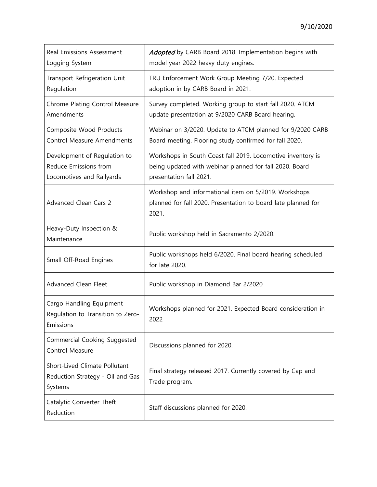| Real Emissions Assessment<br>Logging System                                        | Adopted by CARB Board 2018. Implementation begins with<br>model year 2022 heavy duty engines.                                                     |
|------------------------------------------------------------------------------------|---------------------------------------------------------------------------------------------------------------------------------------------------|
| Transport Refrigeration Unit<br>Regulation                                         | TRU Enforcement Work Group Meeting 7/20. Expected<br>adoption in by CARB Board in 2021.                                                           |
| Chrome Plating Control Measure<br>Amendments                                       | Survey completed. Working group to start fall 2020. ATCM<br>update presentation at 9/2020 CARB Board hearing.                                     |
| Composite Wood Products<br><b>Control Measure Amendments</b>                       | Webinar on 3/2020. Update to ATCM planned for 9/2020 CARB<br>Board meeting. Flooring study confirmed for fall 2020.                               |
| Development of Regulation to<br>Reduce Emissions from<br>Locomotives and Railyards | Workshops in South Coast fall 2019. Locomotive inventory is<br>being updated with webinar planned for fall 2020. Board<br>presentation fall 2021. |
| Advanced Clean Cars 2                                                              | Workshop and informational item on 5/2019. Workshops<br>planned for fall 2020. Presentation to board late planned for<br>2021.                    |
| Heavy-Duty Inspection &<br>Maintenance                                             | Public workshop held in Sacramento 2/2020.                                                                                                        |
| Small Off-Road Engines                                                             | Public workshops held 6/2020. Final board hearing scheduled<br>for late 2020.                                                                     |
| Advanced Clean Fleet                                                               | Public workshop in Diamond Bar 2/2020                                                                                                             |
| Cargo Handling Equipment<br>Regulation to Transition to Zero-<br>Emissions         | Workshops planned for 2021. Expected Board consideration in<br>2022                                                                               |
| Commercial Cooking Suggested<br>Control Measure                                    | Discussions planned for 2020.                                                                                                                     |
| Short-Lived Climate Pollutant<br>Reduction Strategy - Oil and Gas<br>Systems       | Final strategy released 2017. Currently covered by Cap and<br>Trade program.                                                                      |
| Catalytic Converter Theft<br>Reduction                                             | Staff discussions planned for 2020.                                                                                                               |